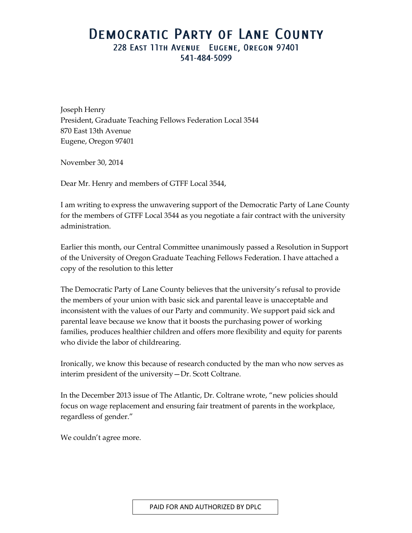## **DEMOCRATIC PARTY OF LANE COUNTY** 228 EAST 11TH AVENUE EUGENE, OREGON 97401 541-484-5099

Joseph Henry President, Graduate Teaching Fellows Federation Local 3544 870 East 13th Avenue Eugene, Oregon 97401

November 30, 2014

Dear Mr. Henry and members of GTFF Local 3544,

I am writing to express the unwavering support of the Democratic Party of Lane County for the members of GTFF Local 3544 as you negotiate a fair contract with the university administration.

Earlier this month, our Central Committee unanimously passed a Resolution in Support of the University of Oregon Graduate Teaching Fellows Federation. I have attached a copy of the resolution to this letter

The Democratic Party of Lane County believes that the university's refusal to provide the members of your union with basic sick and parental leave is unacceptable and inconsistent with the values of our Party and community. We support paid sick and parental leave because we know that it boosts the purchasing power of working families, produces healthier children and offers more flexibility and equity for parents who divide the labor of childrearing.

Ironically, we know this because of research conducted by the man who now serves as interim president of the university—Dr. Scott Coltrane.

In the December 2013 issue of The Atlantic, Dr. Coltrane wrote, "new policies should focus on wage replacement and ensuring fair treatment of parents in the workplace, regardless of gender."

We couldn't agree more.